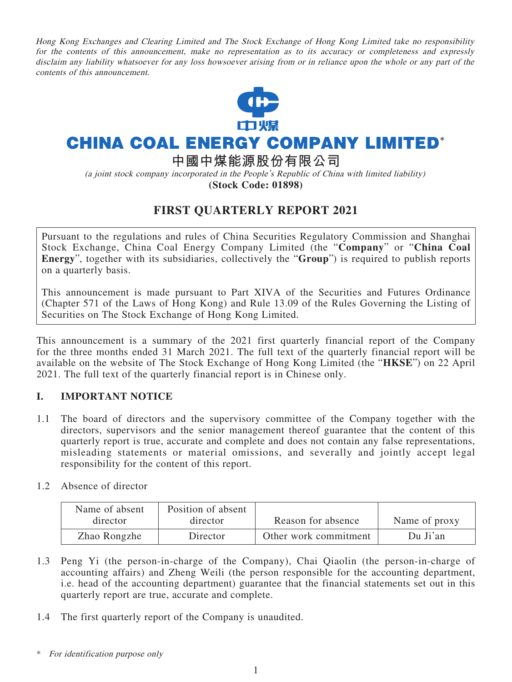Hong Kong Exchanges and Clearing Limited and The Stock Exchange of Hong Kong Limited take no responsibility for the contents of this announcement, make no representation as to its accuracy or completeness and expressly disclaim any liability whatsoever for any loss howsoever arising from or in reliance upon the whole or any part of the contents of this announcement.



# **CHINA COAL ENERGY COMPANY LIMITED\***

**中國中煤能源股份有限公司**

(a joint stock company incorporated in the People's Republic of China with limited liability)

**(Stock Code: 01898)**

### **FIRST QUARTERLY REPORT 2021**

Pursuant to the regulations and rules of China Securities Regulatory Commission and Shanghai Stock Exchange, China Coal Energy Company Limited (the "**Company**" or "**China Coal Energy**", together with its subsidiaries, collectively the "**Group**") is required to publish reports on a quarterly basis.

This announcement is made pursuant to Part XIVA of the Securities and Futures Ordinance (Chapter 571 of the Laws of Hong Kong) and Rule 13.09 of the Rules Governing the Listing of Securities on The Stock Exchange of Hong Kong Limited.

This announcement is a summary of the 2021 first quarterly financial report of the Company for the three months ended 31 March 2021. The full text of the quarterly financial report will be available on the website of The Stock Exchange of Hong Kong Limited (the "**HKSE**") on 22 April 2021. The full text of the quarterly financial report is in Chinese only.

#### **I. IMPORTANT NOTICE**

- 1.1 The board of directors and the supervisory committee of the Company together with the directors, supervisors and the senior management thereof guarantee that the content of this quarterly report is true, accurate and complete and does not contain any false representations, misleading statements or material omissions, and severally and jointly accept legal responsibility for the content of this report.
- 1.2 Absence of director

| Name of absent<br>director | Position of absent<br>director | Reason for absence    | Name of proxy |
|----------------------------|--------------------------------|-----------------------|---------------|
| Zhao Rongzhe               | Director                       | Other work commitment | Du Ji'an      |

- 1.3 Peng Yi (the person-in-charge of the Company), Chai Qiaolin (the person-in-charge of accounting affairs) and Zheng Weili (the person responsible for the accounting department, i.e. head of the accounting department) guarantee that the financial statements set out in this quarterly report are true, accurate and complete.
- 1.4 The first quarterly report of the Company is unaudited.

For identification purpose only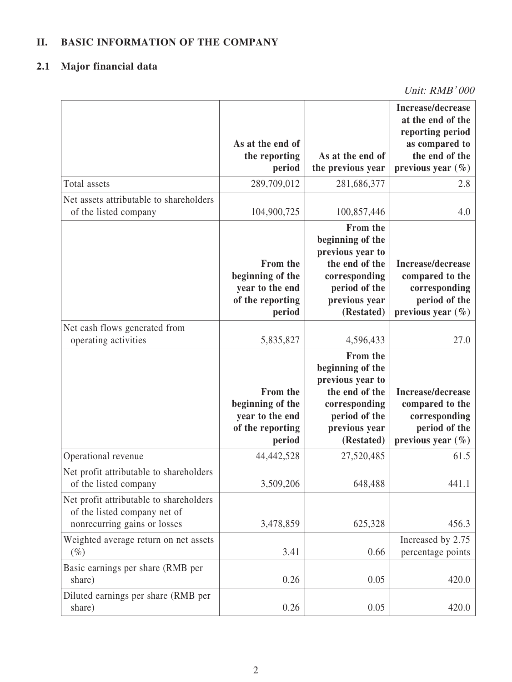### **II. BASIC INFORMATION OF THE COMPANY**

## **2.1 Major financial data**

Unit: RMB' 000

|                                                              |                                     |                                       | Increase/decrease<br>at the end of the<br>reporting period |
|--------------------------------------------------------------|-------------------------------------|---------------------------------------|------------------------------------------------------------|
|                                                              | As at the end of                    |                                       | as compared to                                             |
|                                                              | the reporting<br>period             | As at the end of<br>the previous year | the end of the<br>previous year $(\% )$                    |
| Total assets                                                 | 289,709,012                         | 281,686,377                           | 2.8                                                        |
| Net assets attributable to shareholders                      |                                     |                                       |                                                            |
| of the listed company                                        | 104,900,725                         | 100,857,446                           | 4.0                                                        |
|                                                              |                                     | From the<br>beginning of the          |                                                            |
|                                                              |                                     | previous year to                      |                                                            |
|                                                              | From the                            | the end of the                        | Increase/decrease                                          |
|                                                              | beginning of the<br>year to the end | corresponding<br>period of the        | compared to the                                            |
|                                                              | of the reporting                    | previous year                         | corresponding<br>period of the                             |
|                                                              | period                              | (Restated)                            | previous year $(\% )$                                      |
| Net cash flows generated from                                |                                     |                                       |                                                            |
| operating activities                                         | 5,835,827                           | 4,596,433                             | 27.0                                                       |
|                                                              |                                     | From the                              |                                                            |
|                                                              |                                     | beginning of the<br>previous year to  |                                                            |
|                                                              | From the                            | the end of the                        | Increase/decrease                                          |
|                                                              | beginning of the                    | corresponding                         | compared to the                                            |
|                                                              | year to the end<br>of the reporting | period of the<br>previous year        | corresponding<br>period of the                             |
|                                                              | period                              | (Restated)                            | previous year $(\% )$                                      |
| Operational revenue                                          | 44,442,528                          | 27,520,485                            | 61.5                                                       |
| Net profit attributable to shareholders                      |                                     |                                       |                                                            |
| of the listed company                                        | 3,509,206                           | 648,488                               | 441.1                                                      |
| Net profit attributable to shareholders                      |                                     |                                       |                                                            |
| of the listed company net of<br>nonrecurring gains or losses | 3,478,859                           | 625,328                               | 456.3                                                      |
| Weighted average return on net assets                        |                                     |                                       | Increased by 2.75                                          |
| $(\%)$                                                       | 3.41                                | 0.66                                  | percentage points                                          |
| Basic earnings per share (RMB per<br>share)                  | 0.26                                | 0.05                                  | 420.0                                                      |
| Diluted earnings per share (RMB per<br>share)                | 0.26                                | 0.05                                  | 420.0                                                      |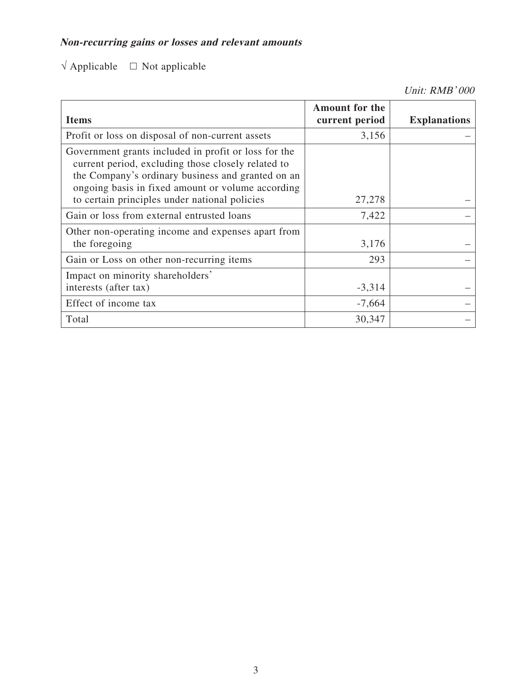## **Non-recurring gains or losses and relevant amounts**

## $\sqrt{\text{Applied}} = \square$  Not applicable

Unit: RMB' 000

| <b>Items</b>                                                                                                                                                                                                                                                          | <b>Amount for the</b><br>current period | <b>Explanations</b> |
|-----------------------------------------------------------------------------------------------------------------------------------------------------------------------------------------------------------------------------------------------------------------------|-----------------------------------------|---------------------|
| Profit or loss on disposal of non-current assets                                                                                                                                                                                                                      | 3,156                                   |                     |
| Government grants included in profit or loss for the<br>current period, excluding those closely related to<br>the Company's ordinary business and granted on an<br>ongoing basis in fixed amount or volume according<br>to certain principles under national policies | 27,278                                  |                     |
| Gain or loss from external entrusted loans                                                                                                                                                                                                                            | 7,422                                   |                     |
| Other non-operating income and expenses apart from<br>the foregoing                                                                                                                                                                                                   | 3,176                                   |                     |
| Gain or Loss on other non-recurring items                                                                                                                                                                                                                             | 293                                     |                     |
| Impact on minority shareholders'<br>interests (after tax)                                                                                                                                                                                                             | $-3,314$                                |                     |
| Effect of income tax                                                                                                                                                                                                                                                  | $-7,664$                                |                     |
| Total                                                                                                                                                                                                                                                                 | 30,347                                  |                     |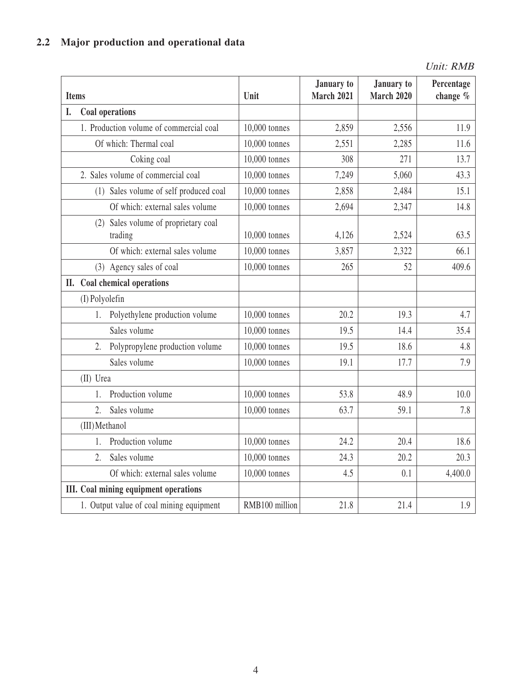## **2.2 Major production and operational data**

Unit: RMB

| <b>Items</b> |                                                 | Unit           | January to<br><b>March 2021</b> | January to<br><b>March 2020</b> | Percentage<br>change % |
|--------------|-------------------------------------------------|----------------|---------------------------------|---------------------------------|------------------------|
| I.           | Coal operations                                 |                |                                 |                                 |                        |
|              | 1. Production volume of commercial coal         | 10,000 tonnes  | 2,859                           | 2,556                           | 11.9                   |
|              | Of which: Thermal coal                          | 10,000 tonnes  | 2,551                           | 2,285                           | 11.6                   |
|              | Coking coal                                     | 10,000 tonnes  | 308                             | 271                             | 13.7                   |
|              | 2. Sales volume of commercial coal              | 10,000 tonnes  | 7,249                           | 5,060                           | 43.3                   |
|              | (1) Sales volume of self produced coal          | 10,000 tonnes  | 2,858                           | 2,484                           | 15.1                   |
|              | Of which: external sales volume                 | 10,000 tonnes  | 2,694                           | 2,347                           | 14.8                   |
|              | (2) Sales volume of proprietary coal<br>trading | 10,000 tonnes  | 4,126                           | 2,524                           | 63.5                   |
|              | Of which: external sales volume                 | 10,000 tonnes  | 3,857                           | 2,322                           | 66.1                   |
|              | (3) Agency sales of coal                        | 10,000 tonnes  | 265                             | 52                              | 409.6                  |
|              | II. Coal chemical operations                    |                |                                 |                                 |                        |
|              | (I) Polyolefin                                  |                |                                 |                                 |                        |
| 1.           | Polyethylene production volume                  | 10,000 tonnes  | 20.2                            | 19.3                            | 4.7                    |
|              | Sales volume                                    | 10,000 tonnes  | 19.5                            | 14.4                            | 35.4                   |
| 2.           | Polypropylene production volume                 | 10,000 tonnes  | 19.5                            | 18.6                            | 4.8                    |
|              | Sales volume                                    | 10,000 tonnes  | 19.1                            | 17.7                            | 7.9                    |
| (II) Urea    |                                                 |                |                                 |                                 |                        |
| 1.           | Production volume                               | 10,000 tonnes  | 53.8                            | 48.9                            | 10.0                   |
| 2.           | Sales volume                                    | 10,000 tonnes  | 63.7                            | 59.1                            | 7.8                    |
|              | (III) Methanol                                  |                |                                 |                                 |                        |
| 1.           | Production volume                               | 10,000 tonnes  | 24.2                            | 20.4                            | 18.6                   |
| 2.           | Sales volume                                    | 10,000 tonnes  | 24.3                            | 20.2                            | 20.3                   |
|              | Of which: external sales volume                 | 10,000 tonnes  | 4.5                             | 0.1                             | 4,400.0                |
|              | III. Coal mining equipment operations           |                |                                 |                                 |                        |
|              | 1. Output value of coal mining equipment        | RMB100 million | 21.8                            | 21.4                            | 1.9                    |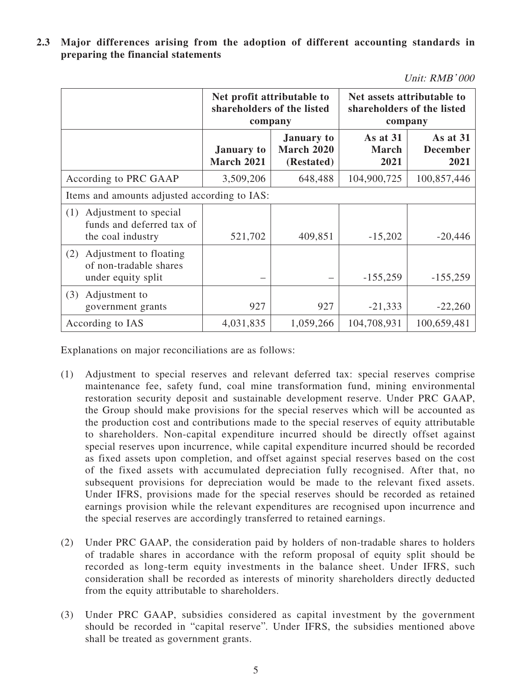**2.3 Major differences arising from the adoption of different accounting standards in preparing the financial statements**

| Unit: RMB'000 |  |
|---------------|--|
|---------------|--|

|                                                                                | Net profit attributable to<br>shareholders of the listed<br>company |                                               | Net assets attributable to<br>shareholders of the listed<br>company |                                     |
|--------------------------------------------------------------------------------|---------------------------------------------------------------------|-----------------------------------------------|---------------------------------------------------------------------|-------------------------------------|
|                                                                                | <b>January</b> to<br><b>March 2021</b>                              | <b>January to</b><br>March 2020<br>(Restated) | As at 31<br><b>March</b><br>2021                                    | As at 31<br><b>December</b><br>2021 |
| According to PRC GAAP                                                          | 3,509,206                                                           | 648,488                                       | 104,900,725                                                         | 100,857,446                         |
| Items and amounts adjusted according to IAS:                                   |                                                                     |                                               |                                                                     |                                     |
| Adjustment to special<br>(1)<br>funds and deferred tax of<br>the coal industry | 521,702                                                             | 409,851                                       | $-15,202$                                                           | $-20,446$                           |
| Adjustment to floating<br>(2)<br>of non-tradable shares<br>under equity split  |                                                                     |                                               | $-155,259$                                                          | $-155,259$                          |
| (3)<br>Adjustment to<br>government grants                                      | 927                                                                 | 927                                           | $-21,333$                                                           | $-22,260$                           |
| According to IAS                                                               | 4,031,835                                                           | 1,059,266                                     | 104,708,931                                                         | 100,659,481                         |

Explanations on major reconciliations are as follows:

- (1) Adjustment to special reserves and relevant deferred tax: special reserves comprise maintenance fee, safety fund, coal mine transformation fund, mining environmental restoration security deposit and sustainable development reserve. Under PRC GAAP, the Group should make provisions for the special reserves which will be accounted as the production cost and contributions made to the special reserves of equity attributable to shareholders. Non-capital expenditure incurred should be directly offset against special reserves upon incurrence, while capital expenditure incurred should be recorded as fixed assets upon completion, and offset against special reserves based on the cost of the fixed assets with accumulated depreciation fully recognised. After that, no subsequent provisions for depreciation would be made to the relevant fixed assets. Under IFRS, provisions made for the special reserves should be recorded as retained earnings provision while the relevant expenditures are recognised upon incurrence and the special reserves are accordingly transferred to retained earnings.
- (2) Under PRC GAAP, the consideration paid by holders of non-tradable shares to holders of tradable shares in accordance with the reform proposal of equity split should be recorded as long-term equity investments in the balance sheet. Under IFRS, such consideration shall be recorded as interests of minority shareholders directly deducted from the equity attributable to shareholders.
- (3) Under PRC GAAP, subsidies considered as capital investment by the government should be recorded in "capital reserve". Under IFRS, the subsidies mentioned above shall be treated as government grants.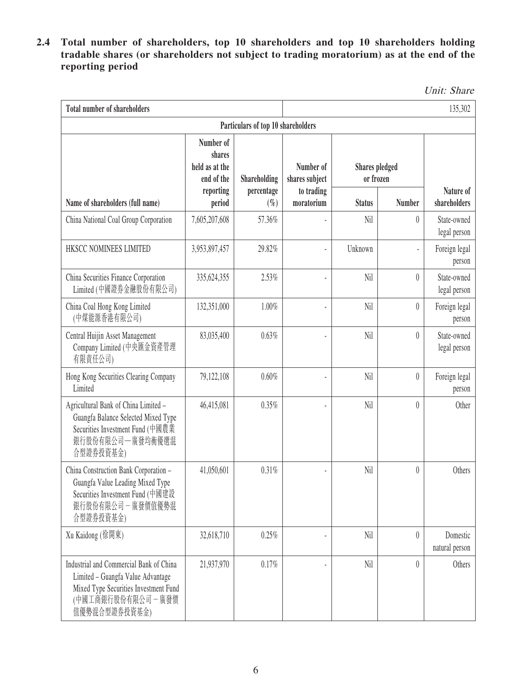**2.4 Total number of shareholders, top 10 shareholders and top 10 shareholders holding tradable shares (or shareholders not subject to trading moratorium) as at the end of the reporting period**

Unit: Share

| <b>Total number of shareholders</b>                                                                                                                           |                                                     |                                    |                             |                                    |                          | 135,302                     |
|---------------------------------------------------------------------------------------------------------------------------------------------------------------|-----------------------------------------------------|------------------------------------|-----------------------------|------------------------------------|--------------------------|-----------------------------|
|                                                                                                                                                               |                                                     | Particulars of top 10 shareholders |                             |                                    |                          |                             |
|                                                                                                                                                               | Number of<br>shares<br>held as at the<br>end of the | <b>Shareholding</b>                | Number of<br>shares subject | <b>Shares</b> pledged<br>or frozen |                          |                             |
| Name of shareholders (full name)                                                                                                                              | reporting<br>period                                 | percentage<br>$(\%)$               | to trading<br>moratorium    | <b>Status</b>                      | <b>Number</b>            | Nature of<br>shareholders   |
| China National Coal Group Corporation                                                                                                                         | 7,605,207,608                                       | 57.36%                             |                             | Nil                                | $\theta$                 | State-owned<br>legal person |
| HKSCC NOMINEES LIMITED                                                                                                                                        | 3,953,897,457                                       | 29.82%                             |                             | Unknown                            | $\overline{\phantom{a}}$ | Foreign legal<br>person     |
| China Securities Finance Corporation<br>Limited (中國證券金融股份有限公司)                                                                                                | 335, 624, 355                                       | 2.53%                              |                             | Nil                                | $\theta$                 | State-owned<br>legal person |
| China Coal Hong Kong Limited<br>(中煤能源香港有限公司)                                                                                                                  | 132,351,000                                         | 1.00%                              |                             | Nil                                | $\theta$                 | Foreign legal<br>person     |
| Central Huijin Asset Management<br>Company Limited (中央匯金資產管理<br>有限責任公司)                                                                                       | 83,035,400                                          | 0.63%                              |                             | Nil                                | $\theta$                 | State-owned<br>legal person |
| Hong Kong Securities Clearing Company<br>Limited                                                                                                              | 79,122,108                                          | 0.60%                              |                             | Nil                                | $\boldsymbol{0}$         | Foreign legal<br>person     |
| Agricultural Bank of China Limited -<br>Guangfa Balance Selected Mixed Type<br>Securities Investment Fund (中國農業<br>銀行股份有限公司一廣發均衡優選混<br>合型證券投資基金)              | 46,415,081                                          | 0.35%                              |                             | Nil                                | $\theta$                 | Other                       |
| China Construction Bank Corporation -<br>Guangfa Value Leading Mixed Type<br>Securities Investment Fund (中國建設<br>銀行股份有限公司一廣發價值優勢混<br>合型證券投資基金)                | 41,050,601                                          | 0.31%                              |                             | Nil                                | $\theta$                 | Others                      |
| Xu Kaidong (徐開東)                                                                                                                                              | 32,618,710                                          | 0.25%                              |                             | Nil                                | $\theta$                 | Domestic<br>natural person  |
| Industrial and Commercial Bank of China<br>Limited - Guangfa Value Advantage<br>Mixed Type Securities Investment Fund<br>(中國工商銀行股份有限公司 - 廣發價<br>值優勢混合型證券投資基金) | 21,937,970                                          | 0.17%                              |                             | Nil                                | $\theta$                 | Others                      |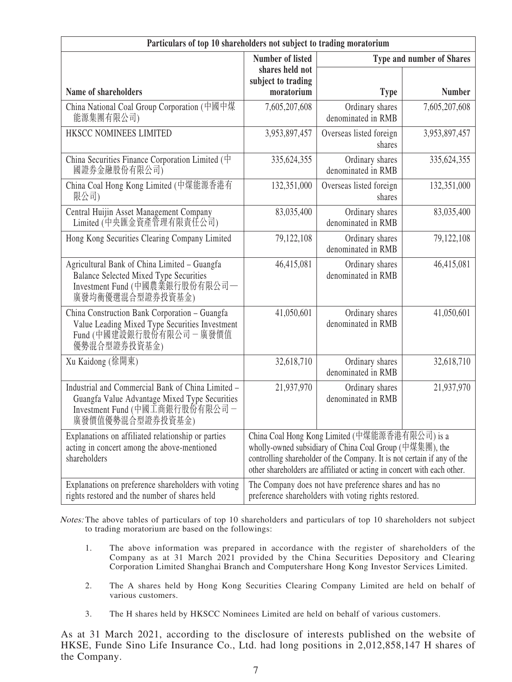| Particulars of top 10 shareholders not subject to trading moratorium                                                                                     |                                       |                                                                                                                                                                                                                                                                 |                                  |
|----------------------------------------------------------------------------------------------------------------------------------------------------------|---------------------------------------|-----------------------------------------------------------------------------------------------------------------------------------------------------------------------------------------------------------------------------------------------------------------|----------------------------------|
|                                                                                                                                                          | <b>Number of listed</b>               |                                                                                                                                                                                                                                                                 | <b>Type and number of Shares</b> |
|                                                                                                                                                          | shares held not<br>subject to trading |                                                                                                                                                                                                                                                                 |                                  |
| Name of shareholders                                                                                                                                     | moratorium                            | <b>Type</b>                                                                                                                                                                                                                                                     | <b>Number</b>                    |
| China National Coal Group Corporation (中國中煤<br>能源集團有限公司)                                                                                                 | 7,605,207,608                         | Ordinary shares<br>denominated in RMB                                                                                                                                                                                                                           | 7,605,207,608                    |
| HKSCC NOMINEES LIMITED                                                                                                                                   | 3,953,897,457                         | Overseas listed foreign<br>shares                                                                                                                                                                                                                               | 3,953,897,457                    |
| China Securities Finance Corporation Limited $(\dagger)$<br>國證券金融股份有限公司)                                                                                 | 335, 624, 355                         | Ordinary shares<br>denominated in RMB                                                                                                                                                                                                                           | 335,624,355                      |
| China Coal Hong Kong Limited (中煤能源香港有<br>限公司)                                                                                                            | 132,351,000                           | Overseas listed foreign<br>shares                                                                                                                                                                                                                               | 132,351,000                      |
| Central Huijin Asset Management Company<br>Limited (中央匯金資產管理有限責任公司)                                                                                      | 83,035,400                            | Ordinary shares<br>denominated in RMB                                                                                                                                                                                                                           | 83,035,400                       |
| Hong Kong Securities Clearing Company Limited                                                                                                            | 79,122,108                            | Ordinary shares<br>denominated in RMB                                                                                                                                                                                                                           | 79,122,108                       |
| Agricultural Bank of China Limited - Guangfa<br><b>Balance Selected Mixed Type Securities</b><br>Investment Fund (中國農業銀行股份有限公司–<br>廣發均衡優選混合型證券投資基金)      | 46,415,081                            | Ordinary shares<br>denominated in RMB                                                                                                                                                                                                                           | 46,415,081                       |
| China Construction Bank Corporation - Guangfa<br>Value Leading Mixed Type Securities Investment<br>Fund (中國建設銀行股份有限公司 - 廣發價值<br>優勢混合型證券投資基金)             | 41,050,601                            | Ordinary shares<br>denominated in RMB                                                                                                                                                                                                                           | 41,050,601                       |
| Xu Kaidong (徐開東)                                                                                                                                         | 32,618,710                            | Ordinary shares<br>denominated in RMB                                                                                                                                                                                                                           | 32,618,710                       |
| Industrial and Commercial Bank of China Limited -<br>Guangfa Value Advantage Mixed Type Securities<br>Investment Fund (中國工商銀行股份有限公司-<br>廣發價值優勢混合型證券投資基金) | 21,937,970                            | Ordinary shares<br>denominated in RMB                                                                                                                                                                                                                           | 21,937,970                       |
| Explanations on affiliated relationship or parties<br>acting in concert among the above-mentioned<br>shareholders                                        |                                       | China Coal Hong Kong Limited (中煤能源香港有限公司) is a<br>wholly-owned subsidiary of China Coal Group (中煤集團), the<br>controlling shareholder of the Company. It is not certain if any of the<br>other shareholders are affiliated or acting in concert with each other. |                                  |
| Explanations on preference shareholders with voting<br>rights restored and the number of shares held                                                     |                                       | The Company does not have preference shares and has no<br>preference shareholders with voting rights restored.                                                                                                                                                  |                                  |

Notes: The above tables of particulars of top 10 shareholders and particulars of top 10 shareholders not subject to trading moratorium are based on the followings:

- 1. The above information was prepared in accordance with the register of shareholders of the Company as at 31 March 2021 provided by the China Securities Depository and Clearing Corporation Limited Shanghai Branch and Computershare Hong Kong Investor Services Limited.
- 2. The A shares held by Hong Kong Securities Clearing Company Limited are held on behalf of various customers.
- 3. The H shares held by HKSCC Nominees Limited are held on behalf of various customers.

As at 31 March 2021, according to the disclosure of interests published on the website of HKSE, Funde Sino Life Insurance Co., Ltd. had long positions in 2,012,858,147 H shares of the Company.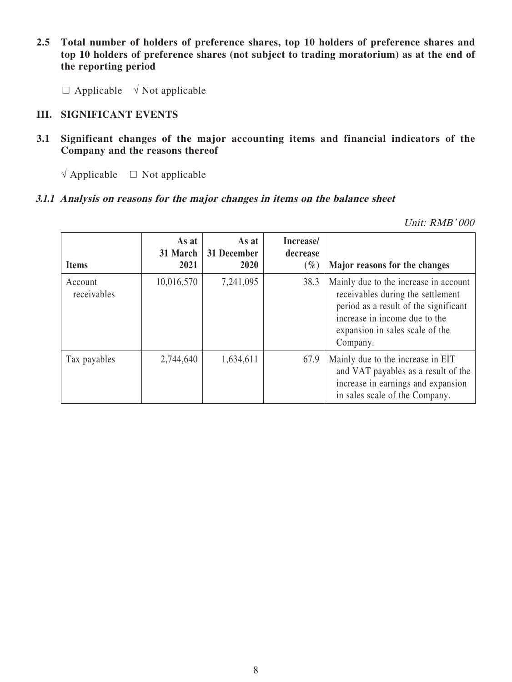- **2.5 Total number of holders of preference shares, top 10 holders of preference shares and top 10 holders of preference shares (not subject to trading moratorium) as at the end of the reporting period**
	- $\Box$  Applicable  $\sqrt{\phantom{a}}$  Not applicable

#### **III. SIGNIFICANT EVENTS**

- **3.1 Significant changes of the major accounting items and financial indicators of the Company and the reasons thereof**
	- $\sqrt{\text{Applied}}$   $\Box$  Not applicable

#### **3.1.1 Analysis on reasons for the major changes in items on the balance sheet**

Unit: RMB' 000

| <b>Items</b>           | As at<br>31 March<br>2021 | As at<br>31 December<br><b>2020</b> | Increase/<br>decrease<br>$(\%)$ | Major reasons for the changes                                                                                                                                                                       |
|------------------------|---------------------------|-------------------------------------|---------------------------------|-----------------------------------------------------------------------------------------------------------------------------------------------------------------------------------------------------|
| Account<br>receivables | 10,016,570                | 7,241,095                           | 38.3                            | Mainly due to the increase in account<br>receivables during the settlement<br>period as a result of the significant<br>increase in income due to the<br>expansion in sales scale of the<br>Company. |
| Tax payables           | 2,744,640                 | 1,634,611                           | 67.9                            | Mainly due to the increase in EIT<br>and VAT payables as a result of the<br>increase in earnings and expansion<br>in sales scale of the Company.                                                    |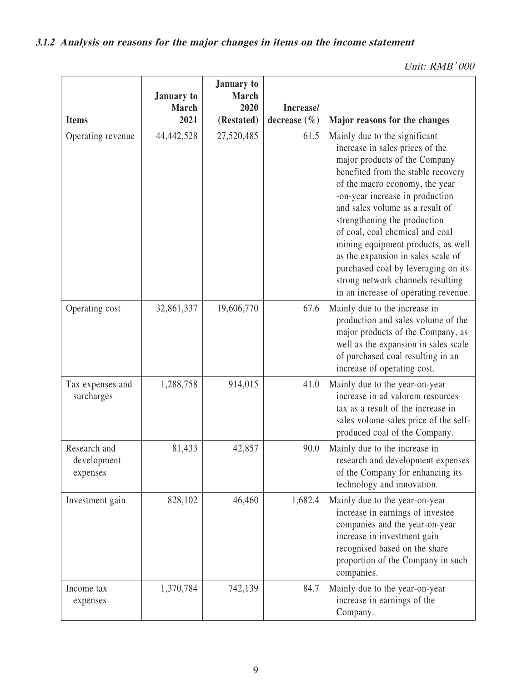| Unit: RMB'000 |  |
|---------------|--|
|               |  |

| <b>Items</b>                            | January to<br><b>March</b><br>2021 | <b>January</b> to<br><b>March</b><br>2020<br>(Restated) | Increase/<br>decrease $(\% )$ | Major reasons for the changes                                                                                                                                                                                                                                                                                                                                                                                                                                                                                      |
|-----------------------------------------|------------------------------------|---------------------------------------------------------|-------------------------------|--------------------------------------------------------------------------------------------------------------------------------------------------------------------------------------------------------------------------------------------------------------------------------------------------------------------------------------------------------------------------------------------------------------------------------------------------------------------------------------------------------------------|
| Operating revenue                       | 44,442,528                         | 27,520,485                                              | 61.5                          | Mainly due to the significant<br>increase in sales prices of the<br>major products of the Company<br>benefited from the stable recovery<br>of the macro economy, the year<br>-on-year increase in production<br>and sales volume as a result of<br>strengthening the production<br>of coal, coal chemical and coal<br>mining equipment products, as well<br>as the expansion in sales scale of<br>purchased coal by leveraging on its<br>strong network channels resulting<br>in an increase of operating revenue. |
| Operating cost                          | 32,861,337                         | 19,606,770                                              | 67.6                          | Mainly due to the increase in<br>production and sales volume of the<br>major products of the Company, as<br>well as the expansion in sales scale<br>of purchased coal resulting in an<br>increase of operating cost.                                                                                                                                                                                                                                                                                               |
| Tax expenses and<br>surcharges          | 1,288,758                          | 914,015                                                 | 41.0                          | Mainly due to the year-on-year<br>increase in ad valorem resources<br>tax as a result of the increase in<br>sales volume sales price of the self-<br>produced coal of the Company.                                                                                                                                                                                                                                                                                                                                 |
| Research and<br>development<br>expenses | 81,433                             | 42,857                                                  | 90.0                          | Mainly due to the increase in<br>research and development expenses<br>of the Company for enhancing its<br>technology and innovation.                                                                                                                                                                                                                                                                                                                                                                               |
| Investment gain                         | 828,102                            | 46,460                                                  | 1,682.4                       | Mainly due to the year-on-year<br>increase in earnings of investee<br>companies and the year-on-year<br>increase in investment gain<br>recognised based on the share<br>proportion of the Company in such<br>companies.                                                                                                                                                                                                                                                                                            |
| Income tax<br>expenses                  | 1,370,784                          | 742,139                                                 | 84.7                          | Mainly due to the year-on-year<br>increase in earnings of the<br>Company.                                                                                                                                                                                                                                                                                                                                                                                                                                          |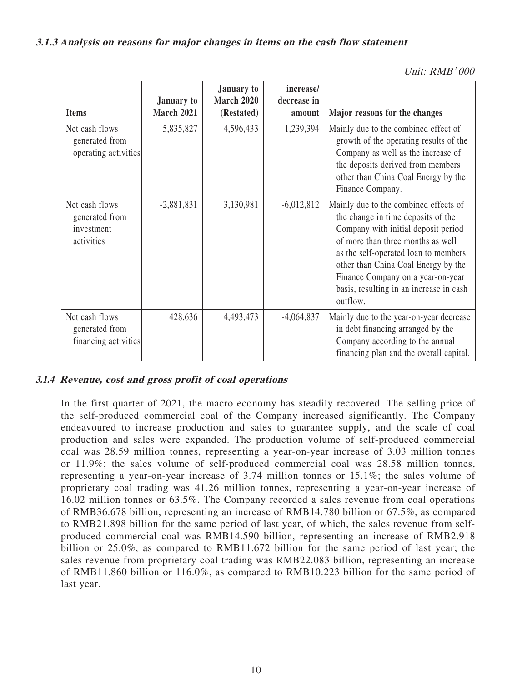#### **3.1.3 Analysis on reasons for major changes in items on the cash flow statement**

| Unit: RMB'000 |
|---------------|
|---------------|

| <b>Items</b>                                                 | <b>January to</b><br><b>March 2021</b> | <b>January to</b><br><b>March 2020</b><br>(Restated) | increase/<br>decrease in<br>amount | Major reasons for the changes                                                                                                                                                                                                                                                                                                      |
|--------------------------------------------------------------|----------------------------------------|------------------------------------------------------|------------------------------------|------------------------------------------------------------------------------------------------------------------------------------------------------------------------------------------------------------------------------------------------------------------------------------------------------------------------------------|
| Net cash flows<br>generated from<br>operating activities     | 5,835,827                              | 4,596,433                                            | 1,239,394                          | Mainly due to the combined effect of<br>growth of the operating results of the<br>Company as well as the increase of<br>the deposits derived from members<br>other than China Coal Energy by the<br>Finance Company.                                                                                                               |
| Net cash flows<br>generated from<br>investment<br>activities | $-2,881,831$                           | 3,130,981                                            | $-6,012,812$                       | Mainly due to the combined effects of<br>the change in time deposits of the<br>Company with initial deposit period<br>of more than three months as well<br>as the self-operated loan to members<br>other than China Coal Energy by the<br>Finance Company on a year-on-year<br>basis, resulting in an increase in cash<br>outflow. |
| Net cash flows<br>generated from<br>financing activities     | 428,636                                | 4,493,473                                            | $-4,064,837$                       | Mainly due to the year-on-year decrease<br>in debt financing arranged by the<br>Company according to the annual<br>financing plan and the overall capital.                                                                                                                                                                         |

#### **3.1.4 Revenue, cost and gross profit of coal operations**

In the first quarter of 2021, the macro economy has steadily recovered. The selling price of the self-produced commercial coal of the Company increased significantly. The Company endeavoured to increase production and sales to guarantee supply, and the scale of coal production and sales were expanded. The production volume of self-produced commercial coal was 28.59 million tonnes, representing a year-on-year increase of 3.03 million tonnes or 11.9%; the sales volume of self-produced commercial coal was 28.58 million tonnes, representing a year-on-year increase of 3.74 million tonnes or 15.1%; the sales volume of proprietary coal trading was 41.26 million tonnes, representing a year-on-year increase of 16.02 million tonnes or 63.5%. The Company recorded a sales revenue from coal operations of RMB36.678 billion, representing an increase of RMB14.780 billion or 67.5%, as compared to RMB21.898 billion for the same period of last year, of which, the sales revenue from selfproduced commercial coal was RMB14.590 billion, representing an increase of RMB2.918 billion or 25.0%, as compared to RMB11.672 billion for the same period of last year; the sales revenue from proprietary coal trading was RMB22.083 billion, representing an increase of RMB11.860 billion or 116.0%, as compared to RMB10.223 billion for the same period of last year.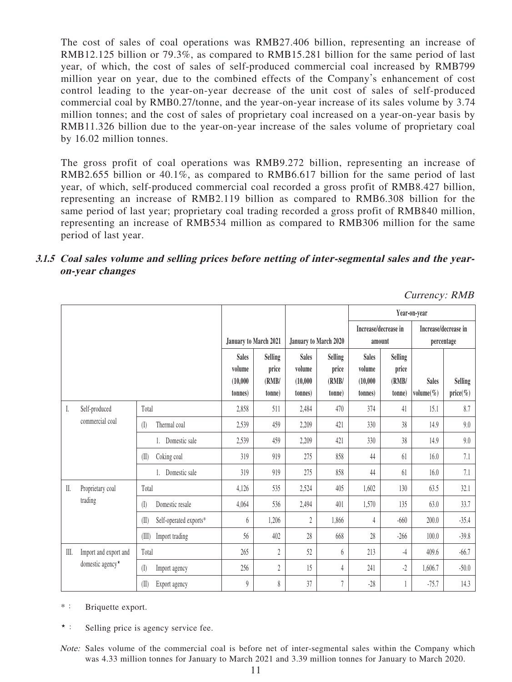The cost of sales of coal operations was RMB27.406 billion, representing an increase of RMB12.125 billion or 79.3%, as compared to RMB15.281 billion for the same period of last year, of which, the cost of sales of self-produced commercial coal increased by RMB799 million year on year, due to the combined effects of the Company's enhancement of cost control leading to the year-on-year decrease of the unit cost of sales of self-produced commercial coal by RMB0.27/tonne, and the year-on-year increase of its sales volume by 3.74 million tonnes; and the cost of sales of proprietary coal increased on a year-on-year basis by RMB11.326 billion due to the year-on-year increase of the sales volume of proprietary coal by 16.02 million tonnes.

The gross profit of coal operations was RMB9.272 billion, representing an increase of RMB2.655 billion or 40.1%, as compared to RMB6.617 billion for the same period of last year, of which, self-produced commercial coal recorded a gross profit of RMB8.427 billion, representing an increase of RMB2.119 billion as compared to RMB6.308 billion for the same period of last year; proprietary coal trading recorded a gross profit of RMB840 million, representing an increase of RMB534 million as compared to RMB306 million for the same period of last year.

#### **3.1.5 Coal sales volume and selling prices before netting of inter-segmental sales and the yearon-year changes**

Currency: RMB

|      |                                                       |                         |                        |                       |                |                       |         | Year-on-year         |             |              |                |
|------|-------------------------------------------------------|-------------------------|------------------------|-----------------------|----------------|-----------------------|---------|----------------------|-------------|--------------|----------------|
|      |                                                       |                         |                        |                       |                | Increase/decrease in  |         | Increase/decrease in |             |              |                |
|      |                                                       |                         |                        | January to March 2021 |                | January to March 2020 |         | amount               |             | percentage   |                |
|      |                                                       |                         |                        | <b>Sales</b>          | <b>Selling</b> | <b>Sales</b>          | Selling | <b>Sales</b>         | Selling     |              |                |
|      |                                                       | volume                  | price                  | volume                | price          | volume                | price   |                      |             |              |                |
|      |                                                       |                         |                        | (10,000)              | (RMB/          | (10,000)              | (RMB/   | (10,000)             | (RMB/       | <b>Sales</b> | <b>Selling</b> |
|      |                                                       | tonnes)                 | tonne)                 | tonnes)               | tonne)         | tonnes)               | (tonne  | volume $(\%)$        | $price(\%)$ |              |                |
| I.   | Self-produced                                         | Total                   |                        | 2,858                 | 511            | 2.484                 | 470     | 374                  | 41          | 15.1         | 8.7            |
|      | commercial coal                                       | Thermal coal<br>(I)     |                        | 2,539                 | 459            | 2,209                 | 421     | 330                  | 38          | 14.9         | 9.0            |
|      |                                                       |                         | Domestic sale          | 2,539                 | 459            | 2,209                 | 421     | 330                  | 38          | 14.9         | 9.0            |
|      |                                                       | Coking coal<br>(II)     |                        | 319                   | 919            | 275                   | 858     | 44                   | 61          | 16.0         | 7.1            |
|      |                                                       |                         | Domestic sale          | 319                   | 919            | 275                   | 858     | 44                   | 61          | 16.0         | 7.1            |
| II.  | Proprietary coal                                      | Total                   |                        | 4,126                 | 535            | 2,524                 | 405     | 1,602                | 130         | 63.5         | 32.1           |
|      | trading                                               | $($ $\Box$              | Domestic resale        | 4,064                 | 536            | 2,494                 | 401     | 1,570                | 135         | 63.0         | 33.7           |
|      |                                                       | (II)                    | Self-operated exports* | 6                     | 1,206          | 2                     | 1,866   | 4                    | $-660$      | 200.0        | $-35.4$        |
|      |                                                       | (III)<br>Import trading |                        | 56                    | 402            | 28                    | 668     | 28                   | $-266$      | 100.0        | $-39.8$        |
| III. | Import and export and<br>domestic agency <sup>*</sup> | Total                   |                        | 265                   | $\overline{c}$ | 52                    | 6       | 213                  | $-4$        | 409.6        | $-66.7$        |
|      |                                                       | (I)<br>Import agency    |                        | 256                   | 2              | 15                    | 4       | 241                  | $-2$        | 1,606.7      | $-50.0$        |
|      |                                                       | (II)<br>Export agency   |                        | 9                     | 8              | 37                    | 7       | $-28$                |             | $-75.7$      | 14.3           |

- \*: Briquette export.
- ★: Selling price is agency service fee.
- Note: Sales volume of the commercial coal is before net of inter-segmental sales within the Company which was 4.33 million tonnes for January to March 2021 and 3.39 million tonnes for January to March 2020.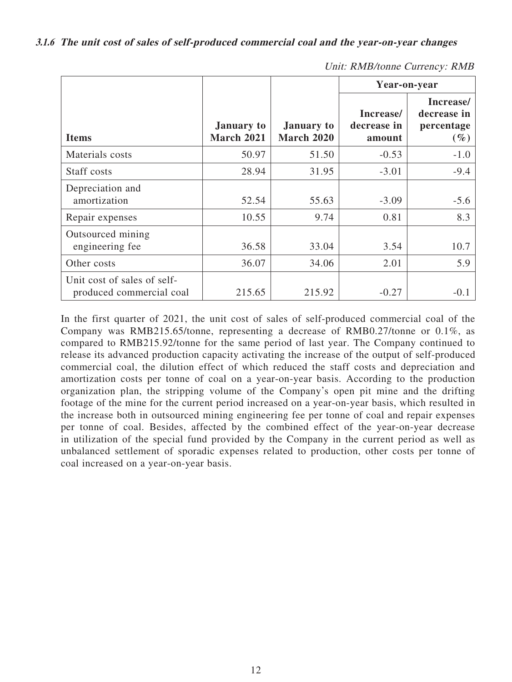**3.1.6 The unit cost of sales of self-produced commercial coal and the year-on-year changes**

|                                                         |                                        |                                        | Year-on-year                       |                                                  |
|---------------------------------------------------------|----------------------------------------|----------------------------------------|------------------------------------|--------------------------------------------------|
| <b>Items</b>                                            | <b>January</b> to<br><b>March 2021</b> | <b>January to</b><br><b>March 2020</b> | Increase/<br>decrease in<br>amount | Increase/<br>decrease in<br>percentage<br>$(\%)$ |
| Materials costs                                         | 50.97                                  | 51.50                                  | $-0.53$                            | $-1.0$                                           |
| Staff costs                                             | 28.94                                  | 31.95                                  | $-3.01$                            | $-9.4$                                           |
| Depreciation and<br>amortization                        | 52.54                                  | 55.63                                  | $-3.09$                            | $-5.6$                                           |
| Repair expenses                                         | 10.55                                  | 9.74                                   | 0.81                               | 8.3                                              |
| Outsourced mining<br>engineering fee                    | 36.58                                  | 33.04                                  | 3.54                               | 10.7                                             |
| Other costs                                             | 36.07                                  | 34.06                                  | 2.01                               | 5.9                                              |
| Unit cost of sales of self-<br>produced commercial coal | 215.65                                 | 215.92                                 | $-0.27$                            | -0.1                                             |

Unit: RMB/tonne Currency: RMB

In the first quarter of 2021, the unit cost of sales of self-produced commercial coal of the Company was RMB215.65/tonne, representing a decrease of RMB0.27/tonne or 0.1%, as compared to RMB215.92/tonne for the same period of last year. The Company continued to release its advanced production capacity activating the increase of the output of self-produced commercial coal, the dilution effect of which reduced the staff costs and depreciation and amortization costs per tonne of coal on a year-on-year basis. According to the production organization plan, the stripping volume of the Company's open pit mine and the drifting footage of the mine for the current period increased on a year-on-year basis, which resulted in the increase both in outsourced mining engineering fee per tonne of coal and repair expenses per tonne of coal. Besides, affected by the combined effect of the year-on-year decrease in utilization of the special fund provided by the Company in the current period as well as unbalanced settlement of sporadic expenses related to production, other costs per tonne of coal increased on a year-on-year basis.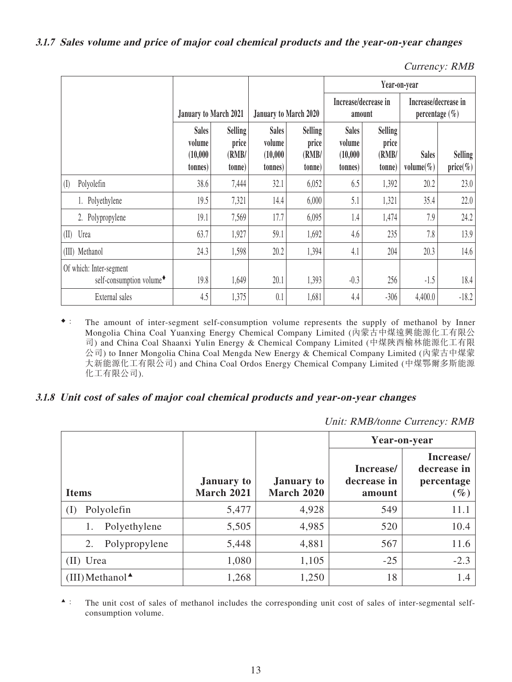| Currency: RMB |  |
|---------------|--|
|---------------|--|

|                                                                 |                                               |                                            |                                                |                                            |                                                | Year-on-year                               |                                            |                        |  |
|-----------------------------------------------------------------|-----------------------------------------------|--------------------------------------------|------------------------------------------------|--------------------------------------------|------------------------------------------------|--------------------------------------------|--------------------------------------------|------------------------|--|
|                                                                 | <b>January to March 2021</b>                  |                                            | January to March 2020                          |                                            | Increase/decrease in<br>amount                 |                                            | Increase/decrease in<br>percentage $(\% )$ |                        |  |
|                                                                 | <b>Sales</b><br>volume<br>(10,000)<br>tonnes) | <b>Selling</b><br>price<br>(RMB/<br>(tonne | <b>Sales</b><br>volume<br>(10,000)<br>(tonnes) | <b>Selling</b><br>price<br>(RMB/<br>(tonne | <b>Sales</b><br>volume<br>(10,000)<br>(tonnes) | <b>Selling</b><br>price<br>(RMB/<br>(tonne | <b>Sales</b><br>volume $(\%)$              | Selling<br>$price(\%)$ |  |
| (I)<br>Polyolefin                                               | 38.6                                          | 7,444                                      | 32.1                                           | 6,052                                      | 6.5                                            | 1,392                                      | 20.2                                       | 23.0                   |  |
| 1. Polyethylene                                                 | 19.5                                          | 7,321                                      | 14.4                                           | 6,000                                      | 5.1                                            | 1,321                                      | 35.4                                       | 22.0                   |  |
| 2. Polypropylene                                                | 19.1                                          | 7,569                                      | 17.7                                           | 6,095                                      | 1.4                                            | 1,474                                      | 7.9                                        | 24.2                   |  |
| (II) Urea                                                       | 63.7                                          | 1,927                                      | 59.1                                           | 1,692                                      | 4.6                                            | 235                                        | 7.8                                        | 13.9                   |  |
| (III) Methanol                                                  | 24.3                                          | 1,598                                      | 20.2                                           | 1,394                                      | 4.1                                            | 204                                        | 20.3                                       | 14.6                   |  |
| Of which: Inter-segment<br>self-consumption volume <sup>+</sup> | 19.8                                          | 1,649                                      | 20.1                                           | 1,393                                      | $-0.3$                                         | 256                                        | $-1.5$                                     | 18.4                   |  |
| External sales                                                  | 4.5                                           | 1,375                                      | 0.1                                            | 1,681                                      | 4.4                                            | $-306$                                     | 4,400.0                                    | $-18.2$                |  |

◆: The amount of inter-segment self-consumption volume represents the supply of methanol by Inner Mongolia China Coal Yuanxing Energy Chemical Company Limited (內蒙古中煤遠興能源化工有限公 司) and China Coal Shaanxi Yulin Energy & Chemical Company Limited (中煤陝西榆林能源化工有限 公司) to Inner Mongolia China Coal Mengda New Energy & Chemical Company Limited (內蒙古中煤蒙 大新能源化工有限公司) and China Coal Ordos Energy Chemical Company Limited (中煤鄂爾多斯能源 化工有限公司).

#### **3.1.8 Unit cost of sales of major coal chemical products and year-on-year changes**

Unit: RMB/tonne Currency: RMB

|                                                    |                                        |                                        | Year-on-year                       |                                                  |  |  |
|----------------------------------------------------|----------------------------------------|----------------------------------------|------------------------------------|--------------------------------------------------|--|--|
| <b>Items</b>                                       | <b>January to</b><br><b>March 2021</b> | <b>January to</b><br><b>March 2020</b> | Increase/<br>decrease in<br>amount | Increase/<br>decrease in<br>percentage<br>$(\%)$ |  |  |
| Polyolefin<br>(I)                                  | 5,477                                  | 4,928                                  | 549                                | 11.1                                             |  |  |
| Polyethylene<br>1.                                 | 5,505                                  | 4,985                                  | 520                                | 10.4                                             |  |  |
| Polypropylene<br>2.                                | 5,448                                  | 4,881                                  | 567                                | 11.6                                             |  |  |
| (II) Urea                                          | 1,080                                  | 1,105                                  | $-25$                              | $-2.3$                                           |  |  |
| $(III)$ Methanol <sup><math>\triangle</math></sup> | 1,268                                  | 1,250                                  | 18                                 | 1.4                                              |  |  |

▲: The unit cost of sales of methanol includes the corresponding unit cost of sales of inter-segmental selfconsumption volume.